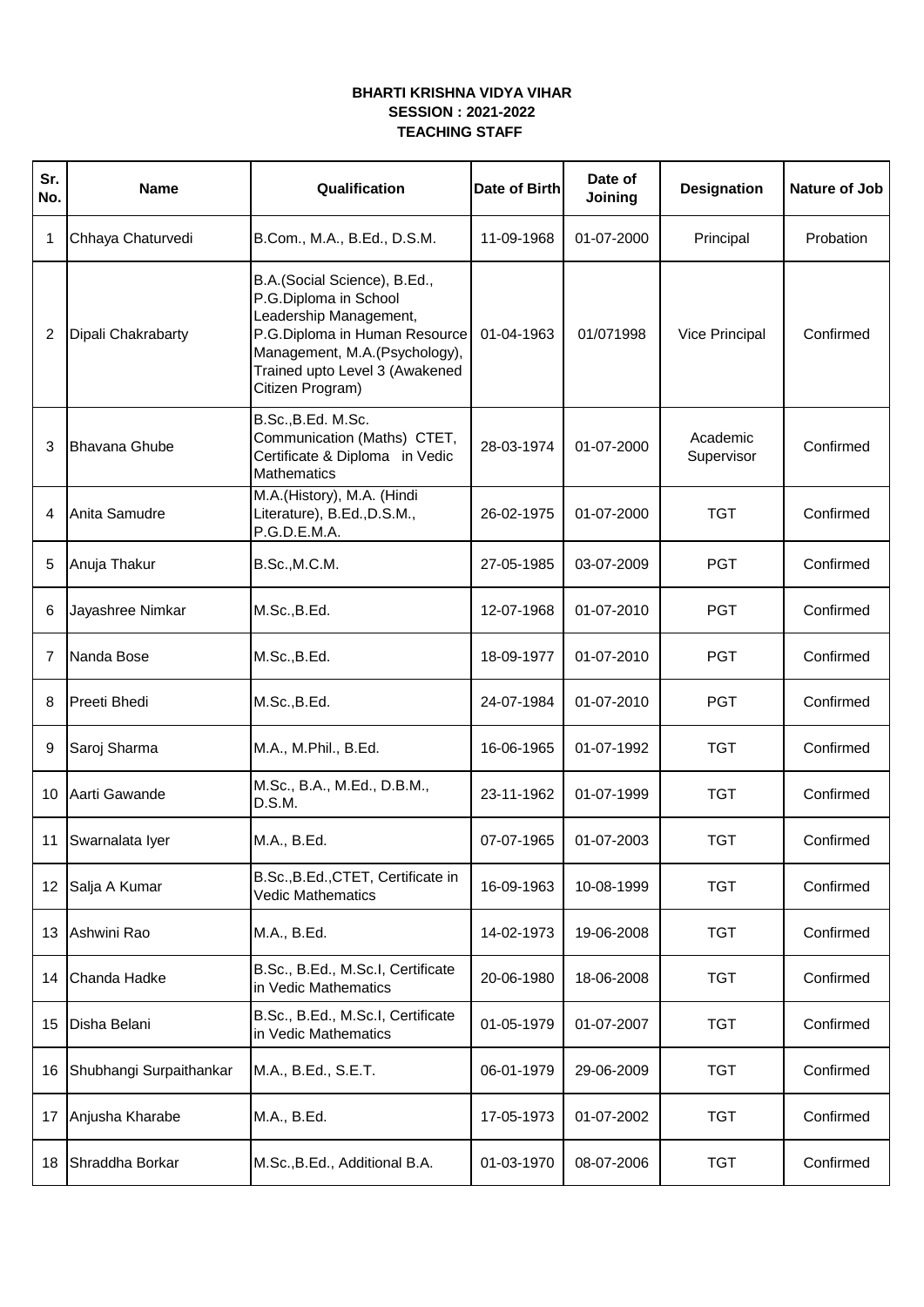## **BHARTI KRISHNA VIDYA VIHAR SESSION : 2021-2022 TEACHING STAFF**

| Sr.<br>No.     | <b>Name</b>             | Qualification                                                                                                                                                                                           | Date of Birth | Date of<br>Joining | <b>Designation</b>     | Nature of Job |
|----------------|-------------------------|---------------------------------------------------------------------------------------------------------------------------------------------------------------------------------------------------------|---------------|--------------------|------------------------|---------------|
| 1              | Chhaya Chaturvedi       | B.Com., M.A., B.Ed., D.S.M.                                                                                                                                                                             | 11-09-1968    | 01-07-2000         | Principal              | Probation     |
| $\overline{2}$ | Dipali Chakrabarty      | B.A.(Social Science), B.Ed.,<br>P.G.Diploma in School<br>Leadership Management,<br>P.G.Diploma in Human Resource<br>Management, M.A.(Psychology),<br>Trained upto Level 3 (Awakened<br>Citizen Program) | 01-04-1963    | 01/071998          | Vice Principal         | Confirmed     |
| 3              | Bhavana Ghube           | B.Sc., B.Ed. M.Sc.<br>Communication (Maths) CTET,<br>Certificate & Diploma in Vedic<br><b>Mathematics</b>                                                                                               | 28-03-1974    | 01-07-2000         | Academic<br>Supervisor | Confirmed     |
| 4              | Anita Samudre           | M.A.(History), M.A. (Hindi<br>Literature), B.Ed., D.S.M.,<br>P.G.D.E.M.A.                                                                                                                               | 26-02-1975    | 01-07-2000         | <b>TGT</b>             | Confirmed     |
| 5              | Anuja Thakur            | B.Sc., M.C.M.                                                                                                                                                                                           | 27-05-1985    | 03-07-2009         | <b>PGT</b>             | Confirmed     |
| 6              | Jayashree Nimkar        | M.Sc., B.Ed.                                                                                                                                                                                            | 12-07-1968    | 01-07-2010         | <b>PGT</b>             | Confirmed     |
| $\overline{7}$ | Nanda Bose              | M.Sc., B.Ed.                                                                                                                                                                                            | 18-09-1977    | 01-07-2010         | <b>PGT</b>             | Confirmed     |
| 8              | <b>Preeti Bhedi</b>     | M.Sc., B.Ed.                                                                                                                                                                                            | 24-07-1984    | 01-07-2010         | <b>PGT</b>             | Confirmed     |
| 9              | Saroj Sharma            | M.A., M.Phil., B.Ed.                                                                                                                                                                                    | 16-06-1965    | 01-07-1992         | <b>TGT</b>             | Confirmed     |
| 10             | Aarti Gawande           | M.Sc., B.A., M.Ed., D.B.M.,<br>D.S.M.                                                                                                                                                                   | 23-11-1962    | 01-07-1999         | <b>TGT</b>             | Confirmed     |
| 11             | Swarnalata Iyer         | M.A., B.Ed.                                                                                                                                                                                             | 07-07-1965    | 01-07-2003         | <b>TGT</b>             | Confirmed     |
| 12             | Salja A Kumar           | B.Sc., B.Ed., CTET, Certificate in<br><b>Vedic Mathematics</b>                                                                                                                                          | 16-09-1963    | 10-08-1999         | <b>TGT</b>             | Confirmed     |
| 13             | Ashwini Rao             | M.A., B.Ed.                                                                                                                                                                                             | 14-02-1973    | 19-06-2008         | <b>TGT</b>             | Confirmed     |
| 14             | Chanda Hadke            | B.Sc., B.Ed., M.Sc.I, Certificate<br>in Vedic Mathematics                                                                                                                                               | 20-06-1980    | 18-06-2008         | <b>TGT</b>             | Confirmed     |
| 15             | Disha Belani            | B.Sc., B.Ed., M.Sc.I, Certificate<br>in Vedic Mathematics                                                                                                                                               | 01-05-1979    | 01-07-2007         | <b>TGT</b>             | Confirmed     |
| 16             | Shubhangi Surpaithankar | M.A., B.Ed., S.E.T.                                                                                                                                                                                     | 06-01-1979    | 29-06-2009         | <b>TGT</b>             | Confirmed     |
| 17             | Anjusha Kharabe         | M.A., B.Ed.                                                                                                                                                                                             | 17-05-1973    | 01-07-2002         | <b>TGT</b>             | Confirmed     |
| 18             | Shraddha Borkar         | M.Sc., B.Ed., Additional B.A.                                                                                                                                                                           | 01-03-1970    | 08-07-2006         | <b>TGT</b>             | Confirmed     |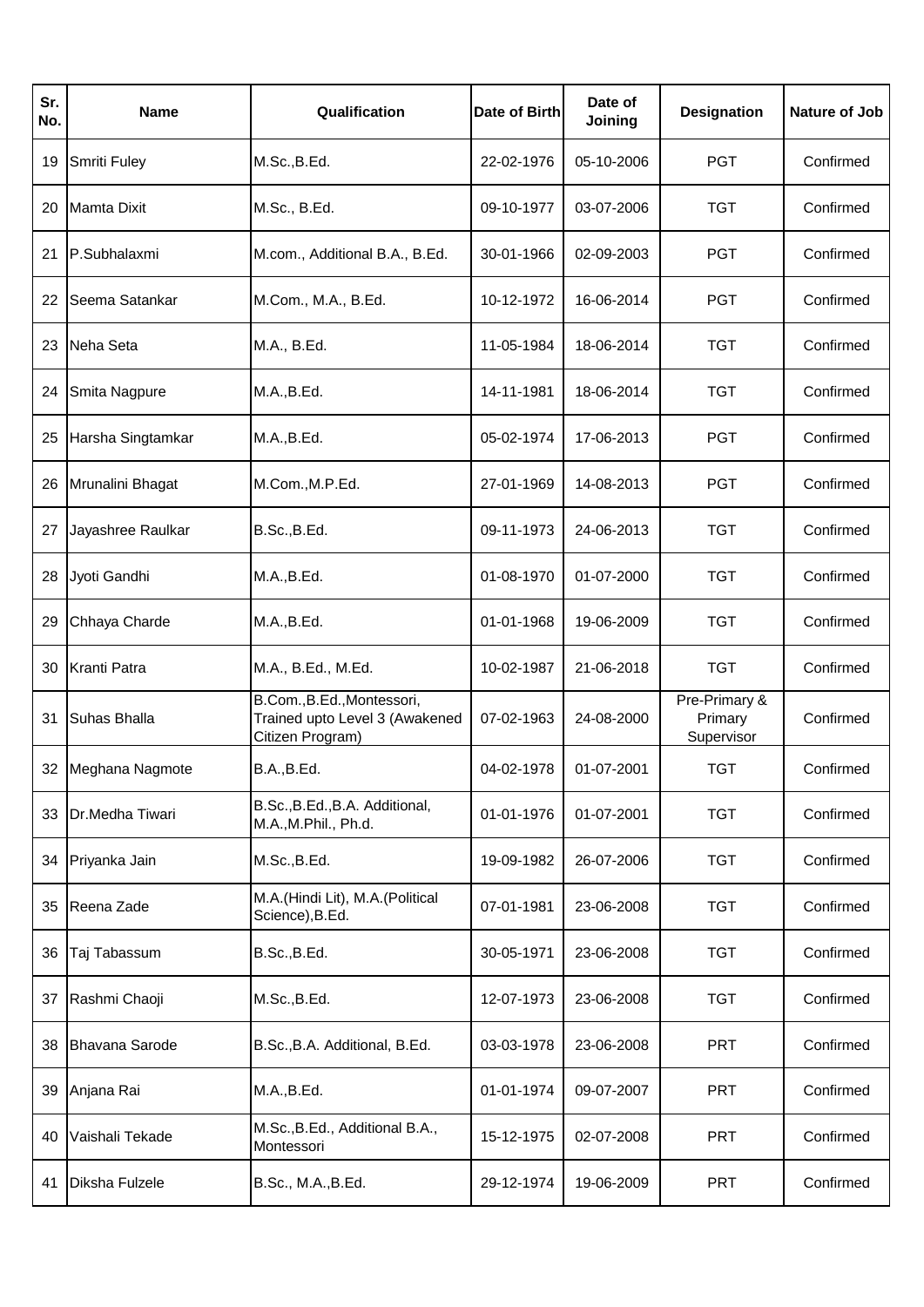| Sr.<br>No. | Name                  | Qualification                                                                    | Date of Birth | Date of<br>Joining | <b>Designation</b>                     | Nature of Job |
|------------|-----------------------|----------------------------------------------------------------------------------|---------------|--------------------|----------------------------------------|---------------|
| 19         | Smriti Fuley          | M.Sc., B.Ed.                                                                     | 22-02-1976    | 05-10-2006         | <b>PGT</b>                             | Confirmed     |
| 20         | <b>Mamta Dixit</b>    | M.Sc., B.Ed.                                                                     | 09-10-1977    | 03-07-2006         | <b>TGT</b>                             | Confirmed     |
| 21         | P.Subhalaxmi          | M.com., Additional B.A., B.Ed.                                                   | 30-01-1966    | 02-09-2003         | <b>PGT</b>                             | Confirmed     |
| 22         | Seema Satankar        | M.Com., M.A., B.Ed.                                                              | 10-12-1972    | 16-06-2014         | <b>PGT</b>                             | Confirmed     |
| 23         | Neha Seta             | M.A., B.Ed.                                                                      | 11-05-1984    | 18-06-2014         | <b>TGT</b>                             | Confirmed     |
| 24         | Smita Nagpure         | M.A., B.Ed.                                                                      | 14-11-1981    | 18-06-2014         | TGT                                    | Confirmed     |
| 25         | Harsha Singtamkar     | M.A., B.Ed.                                                                      | 05-02-1974    | 17-06-2013         | <b>PGT</b>                             | Confirmed     |
| 26         | Mrunalini Bhagat      | M.Com., M.P.Ed.                                                                  | 27-01-1969    | 14-08-2013         | <b>PGT</b>                             | Confirmed     |
| 27         | Jayashree Raulkar     | B.Sc., B.Ed.                                                                     | 09-11-1973    | 24-06-2013         | <b>TGT</b>                             | Confirmed     |
| 28         | Jyoti Gandhi          | M.A., B.Ed.                                                                      | 01-08-1970    | 01-07-2000         | TGT                                    | Confirmed     |
| 29         | Chhaya Charde         | M.A., B.Ed.                                                                      | 01-01-1968    | 19-06-2009         | <b>TGT</b>                             | Confirmed     |
| 30         | Kranti Patra          | M.A., B.Ed., M.Ed.                                                               | 10-02-1987    | 21-06-2018         | <b>TGT</b>                             | Confirmed     |
| 31         | <b>Suhas Bhalla</b>   | B.Com., B.Ed., Montessori,<br>Trained upto Level 3 (Awakened<br>Citizen Program) | 07-02-1963    | 24-08-2000         | Pre-Primary &<br>Primary<br>Supervisor | Confirmed     |
| 32         | Meghana Nagmote       | B.A., B.Ed.                                                                      | 04-02-1978    | 01-07-2001         | <b>TGT</b>                             | Confirmed     |
| 33         | Dr.Medha Tiwari       | B.Sc., B.Ed., B.A. Additional,<br>M.A., M.Phil., Ph.d.                           | 01-01-1976    | 01-07-2001         | <b>TGT</b>                             | Confirmed     |
| 34         | Priyanka Jain         | M.Sc., B.Ed.                                                                     | 19-09-1982    | 26-07-2006         | <b>TGT</b>                             | Confirmed     |
| 35         | Reena Zade            | M.A.(Hindi Lit), M.A.(Political<br>Science), B.Ed.                               | 07-01-1981    | 23-06-2008         | <b>TGT</b>                             | Confirmed     |
| 36         | Taj Tabassum          | B.Sc., B.Ed.                                                                     | 30-05-1971    | 23-06-2008         | <b>TGT</b>                             | Confirmed     |
| 37         | Rashmi Chaoji         | M.Sc., B.Ed.                                                                     | 12-07-1973    | 23-06-2008         | <b>TGT</b>                             | Confirmed     |
| 38         | <b>Bhavana Sarode</b> | B.Sc., B.A. Additional, B.Ed.                                                    | 03-03-1978    | 23-06-2008         | <b>PRT</b>                             | Confirmed     |
| 39         | Anjana Rai            | M.A., B.Ed.                                                                      | 01-01-1974    | 09-07-2007         | <b>PRT</b>                             | Confirmed     |
| 40         | Vaishali Tekade       | M.Sc., B.Ed., Additional B.A.,<br>Montessori                                     | 15-12-1975    | 02-07-2008         | <b>PRT</b>                             | Confirmed     |
| 41         | Diksha Fulzele        | B.Sc., M.A., B.Ed.                                                               | 29-12-1974    | 19-06-2009         | <b>PRT</b>                             | Confirmed     |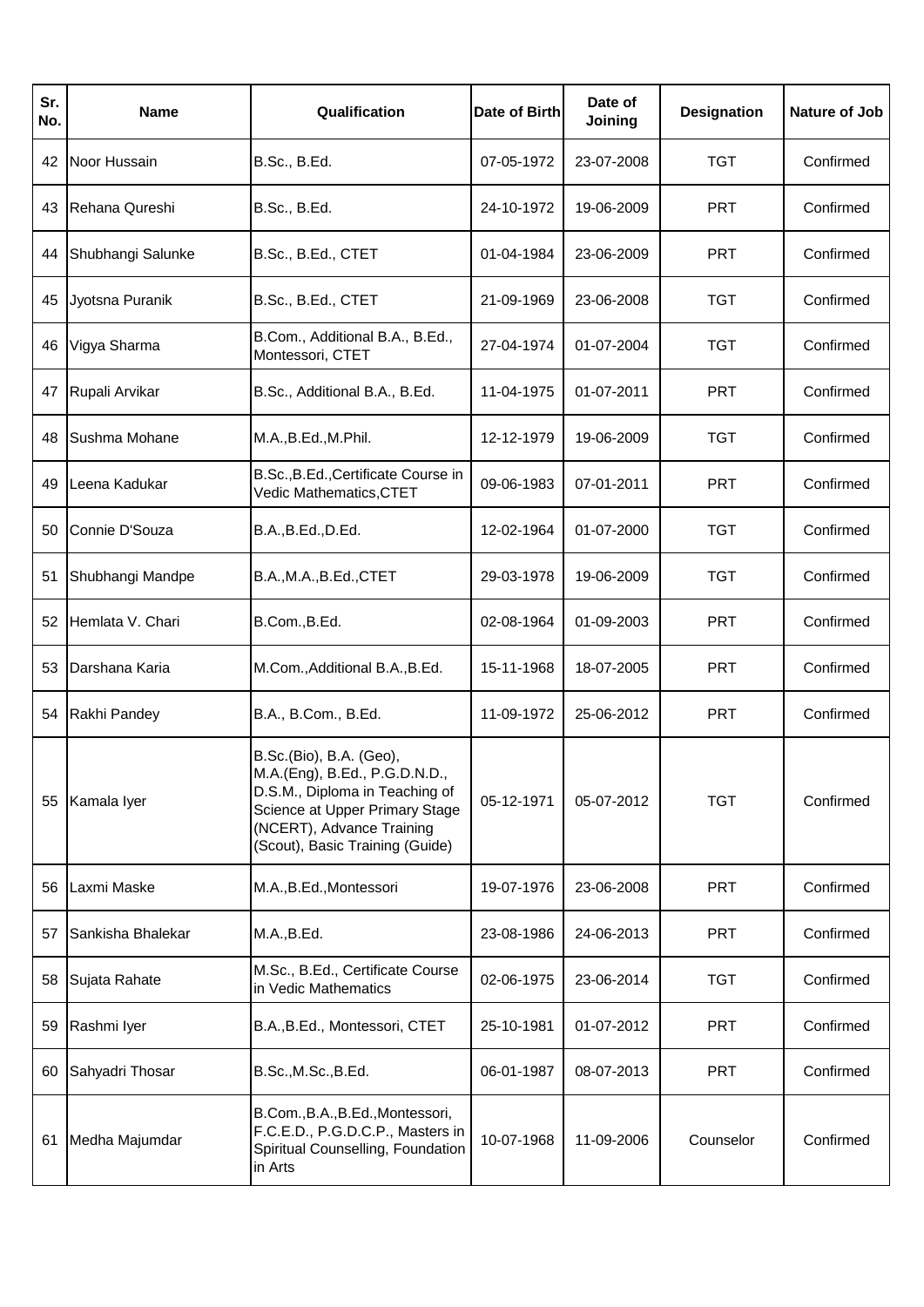| Sr.<br>No. | Name              | Qualification                                                                                                                                                                                | Date of Birth | Date of<br>Joining | <b>Designation</b> | Nature of Job |
|------------|-------------------|----------------------------------------------------------------------------------------------------------------------------------------------------------------------------------------------|---------------|--------------------|--------------------|---------------|
| 42         | Noor Hussain      | B.Sc., B.Ed.                                                                                                                                                                                 | 07-05-1972    | 23-07-2008         | <b>TGT</b>         | Confirmed     |
| 43         | Rehana Qureshi    | B.Sc., B.Ed.                                                                                                                                                                                 | 24-10-1972    | 19-06-2009         | <b>PRT</b>         | Confirmed     |
| 44         | Shubhangi Salunke | B.Sc., B.Ed., CTET                                                                                                                                                                           | 01-04-1984    | 23-06-2009         | <b>PRT</b>         | Confirmed     |
| 45         | Jyotsna Puranik   | B.Sc., B.Ed., CTET                                                                                                                                                                           | 21-09-1969    | 23-06-2008         | <b>TGT</b>         | Confirmed     |
| 46         | Vigya Sharma      | B.Com., Additional B.A., B.Ed.,<br>Montessori, CTET                                                                                                                                          | 27-04-1974    | 01-07-2004         | <b>TGT</b>         | Confirmed     |
| 47         | Rupali Arvikar    | B.Sc., Additional B.A., B.Ed.                                                                                                                                                                | 11-04-1975    | 01-07-2011         | <b>PRT</b>         | Confirmed     |
| 48         | Sushma Mohane     | M.A., B.Ed., M.Phil.                                                                                                                                                                         | 12-12-1979    | 19-06-2009         | <b>TGT</b>         | Confirmed     |
| 49         | Leena Kadukar     | B.Sc., B.Ed., Certificate Course in<br>Vedic Mathematics, CTET                                                                                                                               | 09-06-1983    | 07-01-2011         | <b>PRT</b>         | Confirmed     |
| 50         | Connie D'Souza    | B.A., B.Ed., D.Ed.                                                                                                                                                                           | 12-02-1964    | 01-07-2000         | <b>TGT</b>         | Confirmed     |
| 51         | Shubhangi Mandpe  | B.A., M.A., B.Ed., CTET                                                                                                                                                                      | 29-03-1978    | 19-06-2009         | TGT                | Confirmed     |
| 52         | Hemlata V. Chari  | B.Com., B.Ed.                                                                                                                                                                                | 02-08-1964    | 01-09-2003         | <b>PRT</b>         | Confirmed     |
| 53         | Darshana Karia    | M.Com., Additional B.A., B.Ed.                                                                                                                                                               | 15-11-1968    | 18-07-2005         | <b>PRT</b>         | Confirmed     |
| 54         | Rakhi Pandey      | B.A., B.Com., B.Ed.                                                                                                                                                                          | 11-09-1972    | 25-06-2012         | <b>PRT</b>         | Confirmed     |
| 55         | Kamala Iyer       | B.Sc.(Bio), B.A. (Geo),<br>M.A.(Eng), B.Ed., P.G.D.N.D.,<br>D.S.M., Diploma in Teaching of<br>Science at Upper Primary Stage<br>(NCERT), Advance Training<br>(Scout), Basic Training (Guide) | 05-12-1971    | 05-07-2012         | <b>TGT</b>         | Confirmed     |
| 56         | Laxmi Maske       | M.A., B.Ed., Montessori                                                                                                                                                                      | 19-07-1976    | 23-06-2008         | <b>PRT</b>         | Confirmed     |
| 57         | Sankisha Bhalekar | M.A., B.Ed.                                                                                                                                                                                  | 23-08-1986    | 24-06-2013         | <b>PRT</b>         | Confirmed     |
| 58         | Sujata Rahate     | M.Sc., B.Ed., Certificate Course<br>in Vedic Mathematics                                                                                                                                     | 02-06-1975    | 23-06-2014         | <b>TGT</b>         | Confirmed     |
| 59         | Rashmi Iyer       | B.A., B.Ed., Montessori, CTET                                                                                                                                                                | 25-10-1981    | 01-07-2012         | <b>PRT</b>         | Confirmed     |
| 60         | Sahyadri Thosar   | B.Sc., M.Sc., B.Ed.                                                                                                                                                                          | 06-01-1987    | 08-07-2013         | <b>PRT</b>         | Confirmed     |
| 61         | Medha Majumdar    | B.Com., B.A., B.Ed., Montessori,<br>F.C.E.D., P.G.D.C.P., Masters in<br>Spiritual Counselling, Foundation<br>in Arts                                                                         | 10-07-1968    | 11-09-2006         | Counselor          | Confirmed     |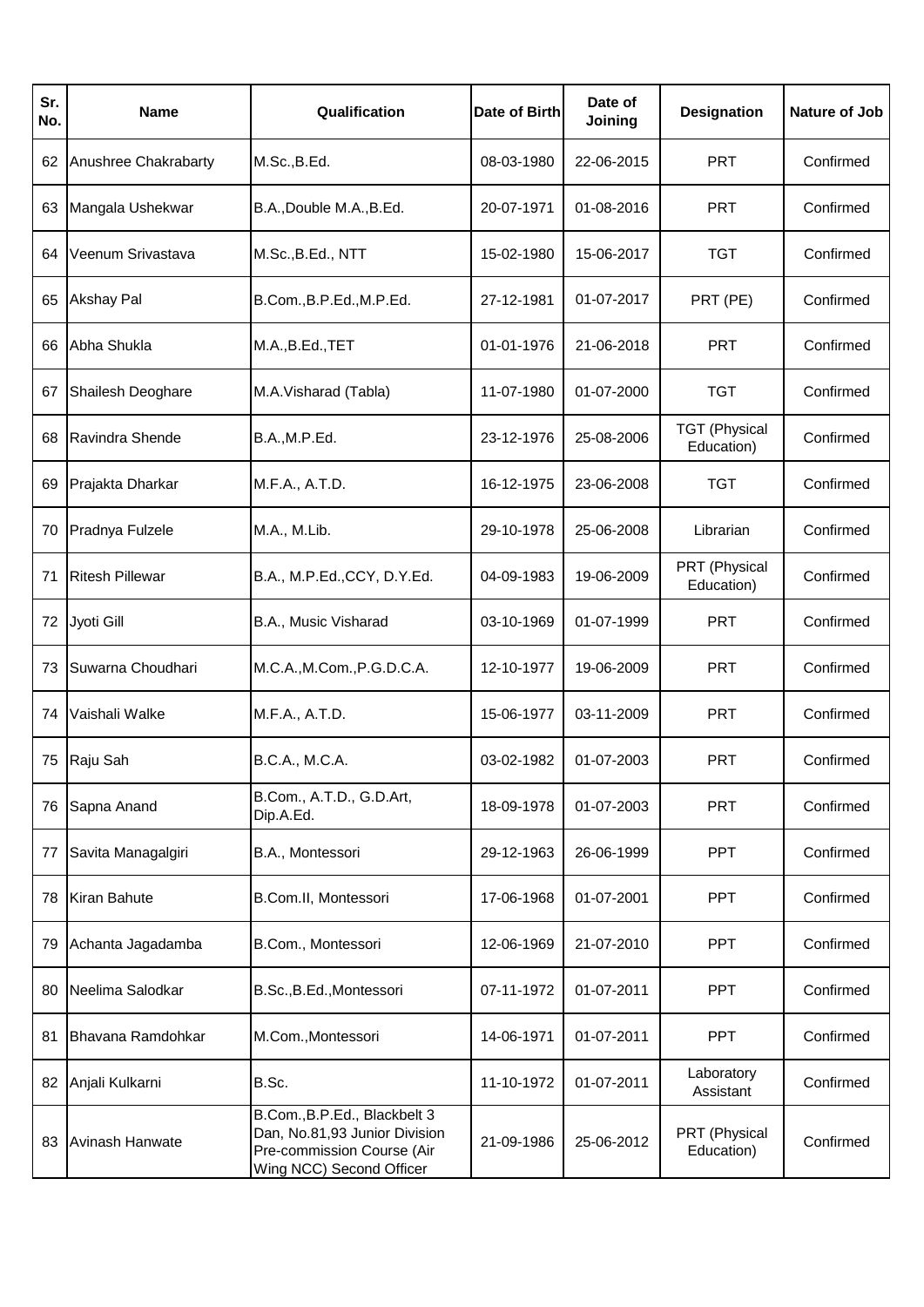| Sr.<br>No. | Name                   | Qualification                                                                                                           | Date of Birth | Date of<br>Joining | <b>Designation</b>                 | Nature of Job |
|------------|------------------------|-------------------------------------------------------------------------------------------------------------------------|---------------|--------------------|------------------------------------|---------------|
| 62         | Anushree Chakrabarty   | M.Sc., B.Ed.                                                                                                            | 08-03-1980    | 22-06-2015         | <b>PRT</b>                         | Confirmed     |
| 63         | Mangala Ushekwar       | B.A., Double M.A., B.Ed.                                                                                                | 20-07-1971    | 01-08-2016         | <b>PRT</b>                         | Confirmed     |
| 64         | Veenum Srivastava      | M.Sc., B.Ed., NTT                                                                                                       | 15-02-1980    | 15-06-2017         | <b>TGT</b>                         | Confirmed     |
| 65         | <b>Akshay Pal</b>      | B.Com., B.P.Ed., M.P.Ed.                                                                                                | 27-12-1981    | 01-07-2017         | PRT (PE)                           | Confirmed     |
| 66         | Abha Shukla            | M.A., B.Ed., TET                                                                                                        | 01-01-1976    | 21-06-2018         | <b>PRT</b>                         | Confirmed     |
| 67         | Shailesh Deoghare      | M.A.Visharad (Tabla)                                                                                                    | 11-07-1980    | 01-07-2000         | <b>TGT</b>                         | Confirmed     |
| 68         | Ravindra Shende        | B.A., M.P.Ed.                                                                                                           | 23-12-1976    | 25-08-2006         | <b>TGT (Physical</b><br>Education) | Confirmed     |
| 69         | Prajakta Dharkar       | M.F.A., A.T.D.                                                                                                          | 16-12-1975    | 23-06-2008         | <b>TGT</b>                         | Confirmed     |
| 70         | Pradnya Fulzele        | M.A., M.Lib.                                                                                                            | 29-10-1978    | 25-06-2008         | Librarian                          | Confirmed     |
| 71         | <b>Ritesh Pillewar</b> | B.A., M.P.Ed., CCY, D.Y.Ed.                                                                                             | 04-09-1983    | 19-06-2009         | PRT (Physical<br>Education)        | Confirmed     |
| 72         | Jyoti Gill             | B.A., Music Visharad                                                                                                    | 03-10-1969    | 01-07-1999         | <b>PRT</b>                         | Confirmed     |
| 73         | Suwarna Choudhari      | M.C.A., M.Com., P.G.D.C.A.                                                                                              | 12-10-1977    | 19-06-2009         | <b>PRT</b>                         | Confirmed     |
| 74         | Vaishali Walke         | M.F.A., A.T.D.                                                                                                          | 15-06-1977    | 03-11-2009         | <b>PRT</b>                         | Confirmed     |
| 75         | Raju Sah               | B.C.A., M.C.A.                                                                                                          | 03-02-1982    | 01-07-2003         | <b>PRT</b>                         | Confirmed     |
| 76         | Sapna Anand            | B.Com., A.T.D., G.D.Art,<br>Dip.A.Ed.                                                                                   | 18-09-1978    | 01-07-2003         | PRT                                | Confirmed     |
| 77         | Savita Managalgiri     | B.A., Montessori                                                                                                        | 29-12-1963    | 26-06-1999         | <b>PPT</b>                         | Confirmed     |
| 78         | Kiran Bahute           | B.Com.II, Montessori                                                                                                    | 17-06-1968    | 01-07-2001         | <b>PPT</b>                         | Confirmed     |
| 79         | Achanta Jagadamba      | B.Com., Montessori                                                                                                      | 12-06-1969    | 21-07-2010         | <b>PPT</b>                         | Confirmed     |
| 80         | Neelima Salodkar       | B.Sc., B.Ed., Montessori                                                                                                | 07-11-1972    | 01-07-2011         | <b>PPT</b>                         | Confirmed     |
| 81         | Bhavana Ramdohkar      | M.Com., Montessori                                                                                                      | 14-06-1971    | 01-07-2011         | <b>PPT</b>                         | Confirmed     |
| 82         | Anjali Kulkarni        | B.Sc.                                                                                                                   | 11-10-1972    | 01-07-2011         | Laboratory<br>Assistant            | Confirmed     |
| 83         | Avinash Hanwate        | B.Com., B.P.Ed., Blackbelt 3<br>Dan, No.81,93 Junior Division<br>Pre-commission Course (Air<br>Wing NCC) Second Officer | 21-09-1986    | 25-06-2012         | PRT (Physical<br>Education)        | Confirmed     |